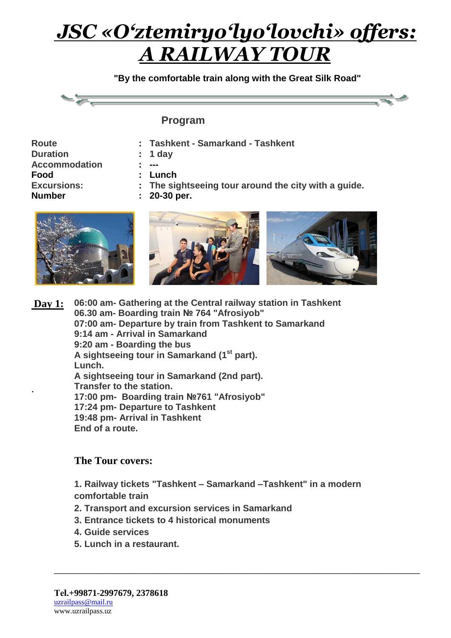**"By the comfortable train along with the Great Silk Road"**

#### **Program**

| <b>Route</b>         |  |
|----------------------|--|
| <b>Duration</b>      |  |
| <b>Accommodation</b> |  |
| Food                 |  |
| <b>Excursions:</b>   |  |
| Number               |  |

- **: Tashkent - Samarkand - Tashkent**
- **: 1 day**
- **: ---**
- **: Lunch**

**: 20-30 per.**

**: The sightseeing tour around the city with a guide.** 



**Day 1:** . **06:00 am- Gathering at the Central railway station in Tashkent 06.30 am- Boarding train № 764 "Afrosiyob" 07:00 am- Departure by train from Tashkent to Samarkand 9:14 am - Arrival in Samarkand 9:20 am - Boarding the bus A sightseeing tour in Samarkand (1st part). Lunch. A sightseeing tour in Samarkand (2nd part). Transfer to the station. 17:00 pm- Boarding train №761 "Afrosiyob" 17:24 pm- Departure to Tashkent 19:48 pm- Arrival in Tashkent End of a route.**

#### **The Tour covers:**

**1. Railway tickets "Tashkent – Samarkand –Tashkent" in a modern comfortable train**

\_\_\_\_\_\_\_\_\_\_\_\_\_\_\_\_\_\_\_\_\_\_\_\_\_\_\_\_\_\_\_\_\_\_\_\_\_\_\_\_\_\_\_\_\_\_\_\_\_\_\_\_\_\_\_\_\_\_\_\_\_\_\_\_\_\_\_\_\_

- **2. Transport and excursion services in Samarkand**
- **3. Entrance tickets to 4 historical monuments**
- **4. Guide services**
- **5. Lunch in a restaurant.**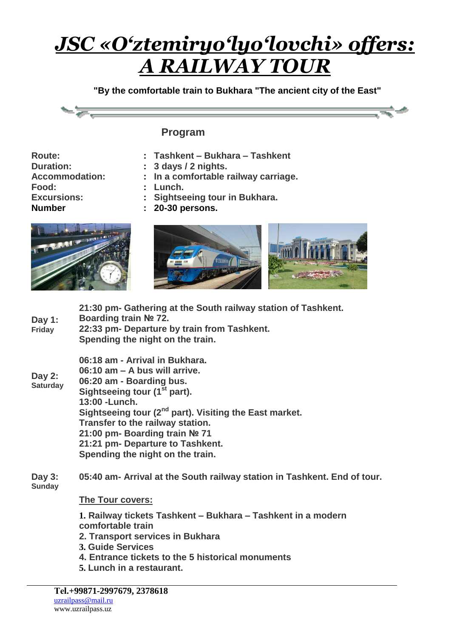**"By the comfortable train to Bukhara "The ancient city of the East"**



#### **Program**

- **Route: Duration: Accommodation: Food: Excursions: Number**
- **: Tashkent – Bukhara – Tashkent**
- **: 3 days / 2 nights.**
- **: In a comfortable railway carriage.**
- **: Lunch.**
- **: Sightseeing tour in Bukhara.**
- **: 20-30 persons.**





| Day 1:<br><b>Friday</b>     | 21:30 pm- Gathering at the South railway station of Tashkent.<br>Boarding train № 72.<br>22:33 pm- Departure by train from Tashkent.<br>Spending the night on the train.                                                                                                                                                                                                     |
|-----------------------------|------------------------------------------------------------------------------------------------------------------------------------------------------------------------------------------------------------------------------------------------------------------------------------------------------------------------------------------------------------------------------|
| Day $2:$<br><b>Saturday</b> | 06:18 am - Arrival in Bukhara.<br>06:10 am - A bus will arrive.<br>06:20 am - Boarding bus.<br>Sightseeing tour (1 <sup>st</sup> part).<br>13:00 - Lunch.<br>Sightseeing tour (2 <sup>nd</sup> part). Visiting the East market.<br>Transfer to the railway station.<br>21:00 pm- Boarding train № 71<br>21:21 pm- Departure to Tashkent.<br>Spending the night on the train. |
| Day 3:<br><b>Sunday</b>     | 05:40 am- Arrival at the South railway station in Tashkent. End of tour.                                                                                                                                                                                                                                                                                                     |
|                             | <b>The Tour covers:</b>                                                                                                                                                                                                                                                                                                                                                      |
|                             | 1. Railway tickets Tashkent – Bukhara – Tashkent in a modern<br>comfortable train<br>2. Transport services in Bukhara<br>3. Guide Services<br>4. Entrance tickets to the 5 historical monuments<br>5. Lunch in a restaurant.                                                                                                                                                 |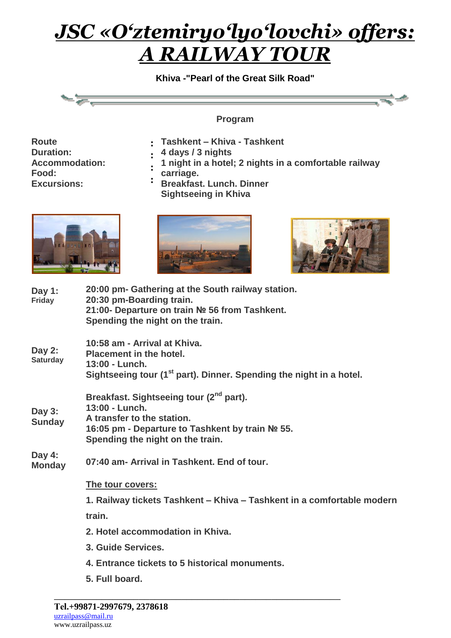**Khiva -"Pearl of the Great Silk Road"**



**Program** 

- **Route Duration: Accommodation: Food: Excursions:**
- **: Tashkent – Khiva - Tashkent**
- **4 days / 3 nights**
- **: : 1 night in a hotel; 2 nights in a comfortable railway**
- **carriage.**
- **: Breakfast. Lunch. Dinner Sightseeing in Khiva**







| Day 1:<br>Friday          | 20:00 pm- Gathering at the South railway station.<br>20:30 pm-Boarding train.<br>21:00- Departure on train № 56 from Tashkent.<br>Spending the night on the train.                         |
|---------------------------|--------------------------------------------------------------------------------------------------------------------------------------------------------------------------------------------|
| Day 2:<br><b>Saturday</b> | 10:58 am - Arrival at Khiva.<br><b>Placement in the hotel.</b><br>13:00 - Lunch.<br>Sightseeing tour (1 <sup>st</sup> part). Dinner. Spending the night in a hotel.                        |
| Day 3:<br><b>Sunday</b>   | Breakfast. Sightseeing tour (2 <sup>nd</sup> part).<br>13:00 - Lunch.<br>A transfer to the station.<br>16:05 pm - Departure to Tashkent by train № 55.<br>Spending the night on the train. |
| Day 4:<br><b>Monday</b>   | 07:40 am- Arrival in Tashkent. End of tour.                                                                                                                                                |
|                           | The tour covers:                                                                                                                                                                           |
|                           | 1. Railway tickets Tashkent – Khiva – Tashkent in a comfortable modern                                                                                                                     |
|                           | train.                                                                                                                                                                                     |
|                           | 2. Hotel accommodation in Khiva.                                                                                                                                                           |
|                           | 3. Guide Services.                                                                                                                                                                         |
|                           | 4. Entrance tickets to 5 historical monuments.                                                                                                                                             |
|                           | 5. Full board.                                                                                                                                                                             |

\_\_\_\_\_\_\_\_\_\_\_\_\_\_\_\_\_\_\_\_\_\_\_\_\_\_\_\_\_\_\_\_\_\_\_\_\_\_\_\_\_\_\_\_\_\_\_\_\_\_\_\_\_\_